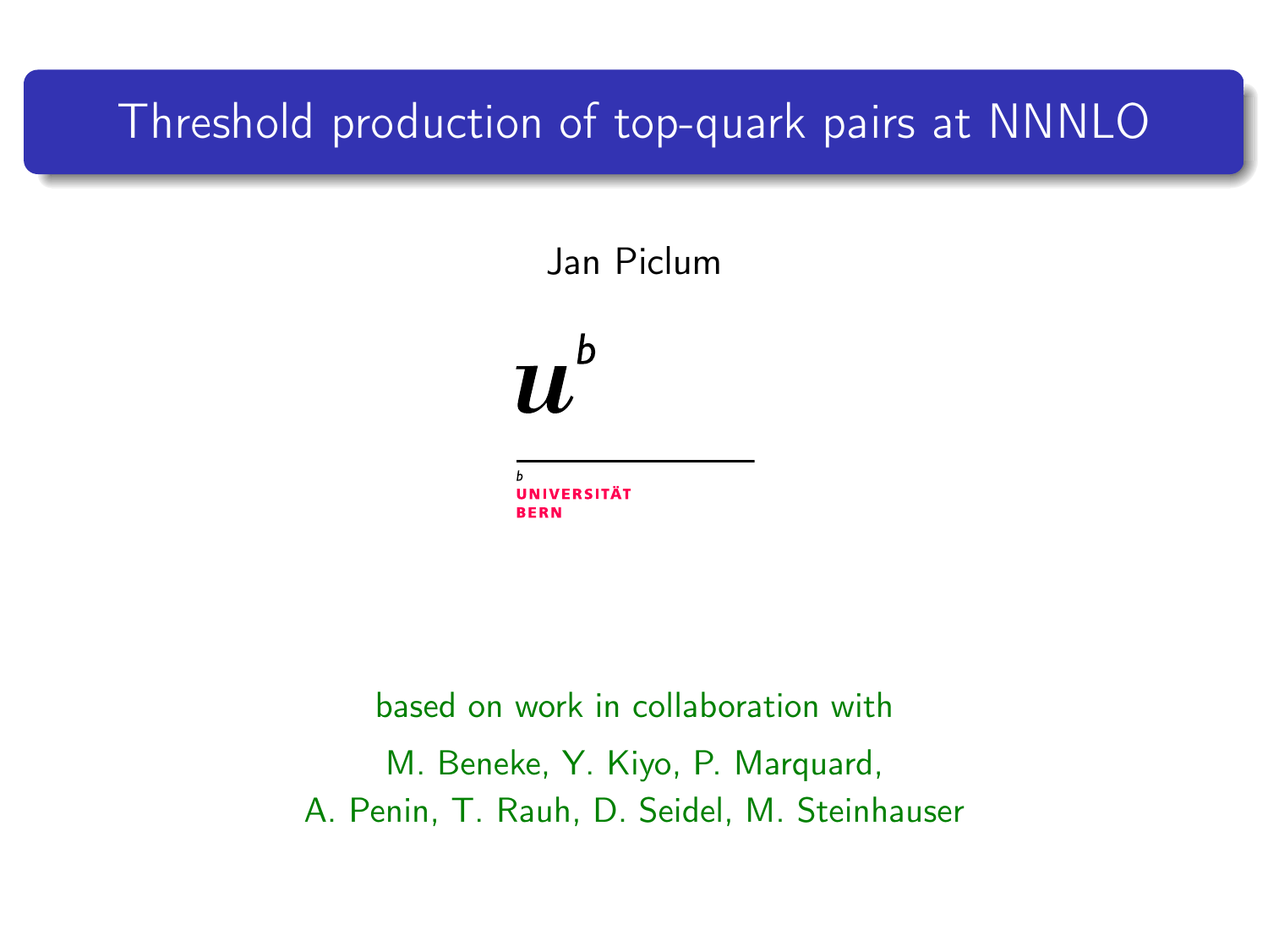### Threshold production of top-quark pairs at NNNLO

Jan Piclum

b 71.

**BERN** 

<span id="page-0-0"></span>based on work in collaboration with M. Beneke, Y. Kiyo, P. Marquard, A. Penin, T. Rauh, D. Seidel, M. Steinhauser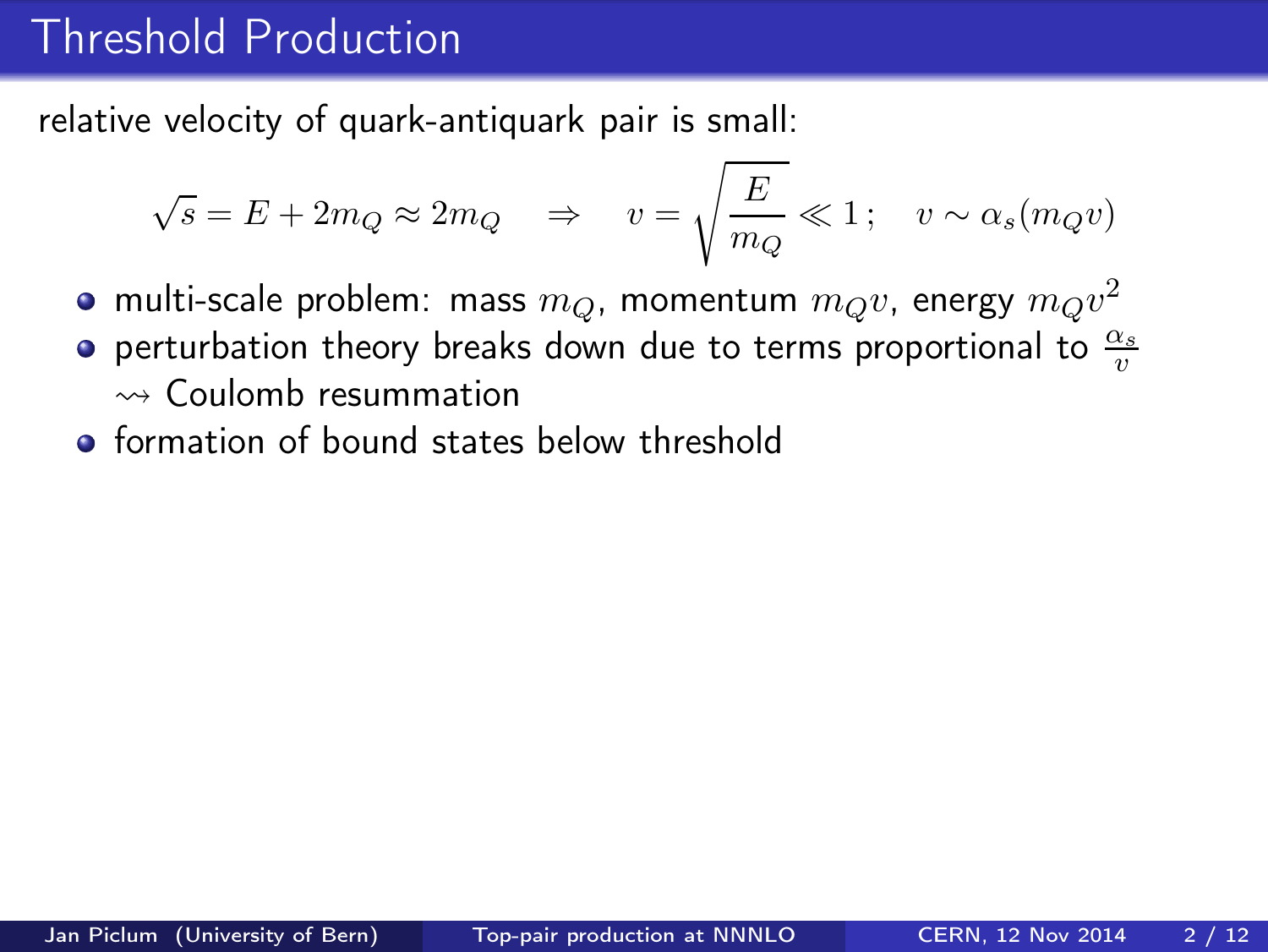### Threshold Production

relative velocity of quark-antiquark pair is small:

$$
\sqrt{s} = E + 2m_Q \approx 2m_Q \Rightarrow v = \sqrt{\frac{E}{m_Q}} \ll 1; \quad v \sim \alpha_s(m_Q v)
$$

- multi-scale problem: mass  $m_Q$ , momentum  $m_Q v$ , energy  $m_Q v^2$
- perturbation theory breaks down due to terms proportional to  $\frac{\alpha_s}{n}$ v  $\rightsquigarrow$  Coulomb resummation
- **o** formation of bound states below threshold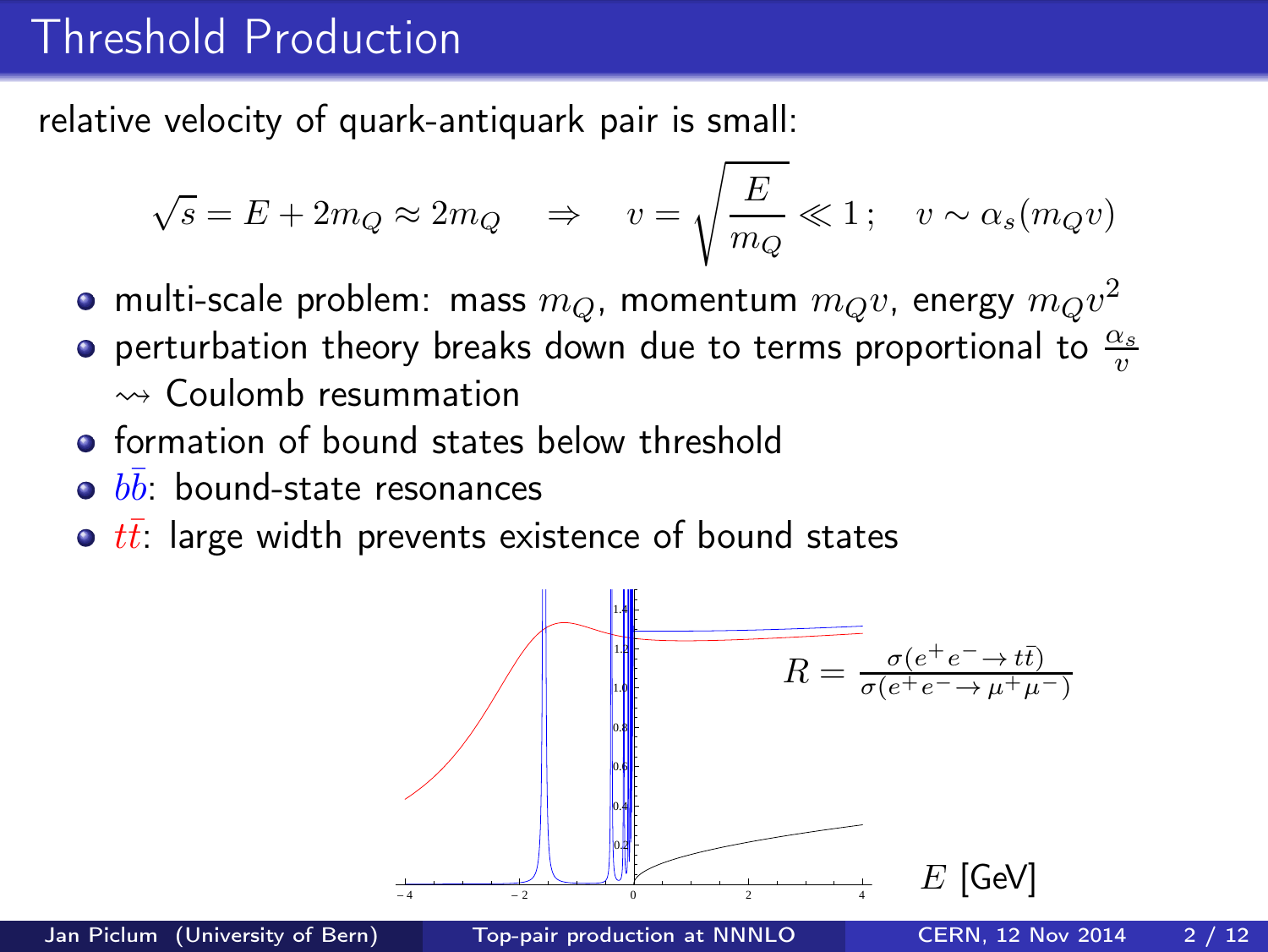## Threshold Production

relative velocity of quark-antiquark pair is small:

$$
\sqrt{s} = E + 2m_Q \approx 2m_Q \Rightarrow v = \sqrt{\frac{E}{m_Q}} \ll 1; \quad v \sim \alpha_s(m_Q v)
$$

- multi-scale problem: mass  $m_Q$ , momentum  $m_Q v$ , energy  $m_Q v^2$
- perturbation theory breaks down due to terms proportional to  $\frac{\alpha_s}{n}$ v  $\rightsquigarrow$  Coulomb resummation
- **o** formation of bound states below threshold
- $b\bar{b}$ : bound-state resonances
- $\bullet$   $t\bar{t}$ : large width prevents existence of bound states

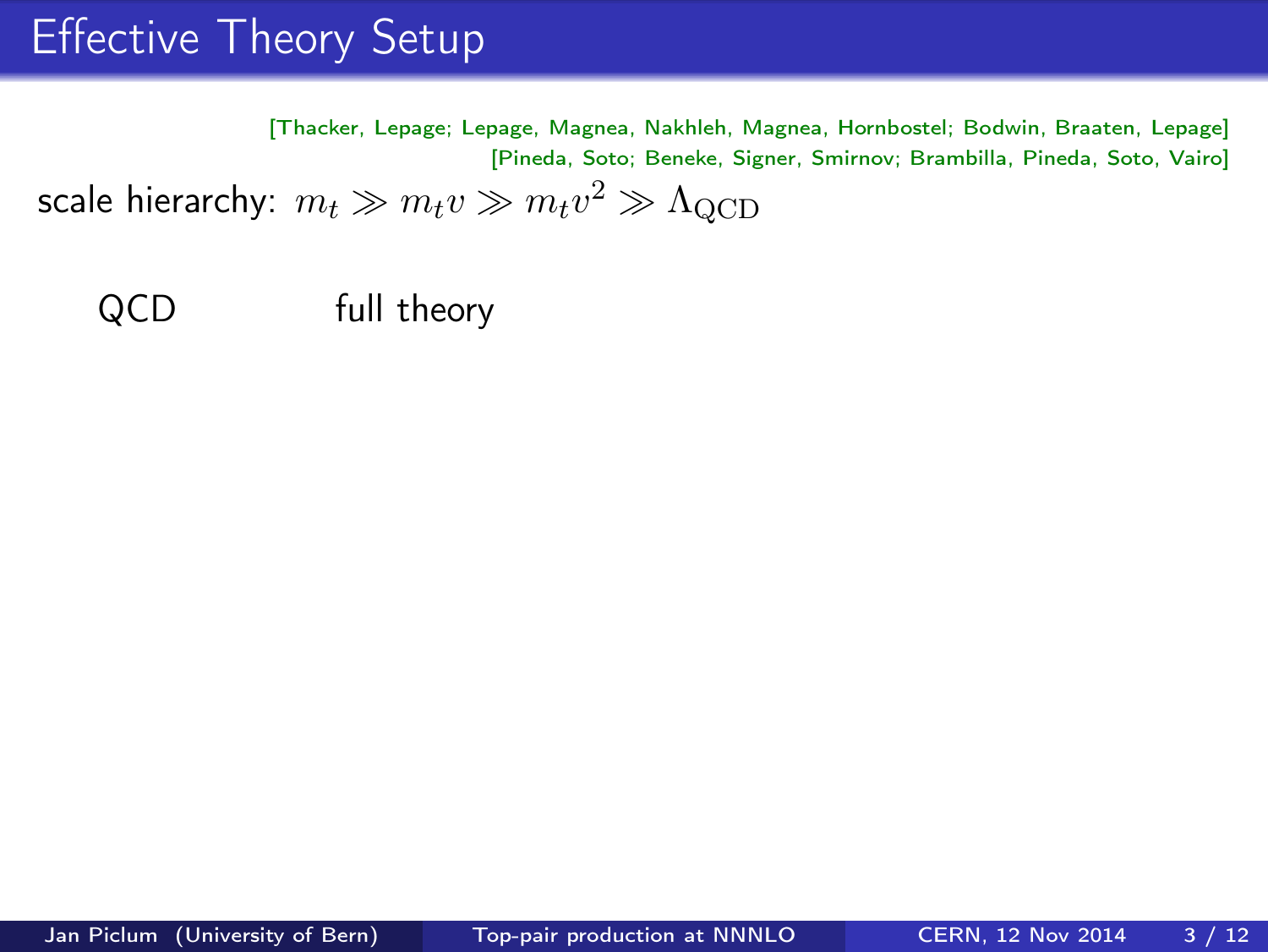# **Effective Theory Setup**

[Thacker, Lepage; Lepage, Magnea, Nakhleh, Magnea, Hornbostel; Bodwin, Braaten, Lepage] [Pineda, Soto; Beneke, Signer, Smirnov; Brambilla, Pineda, Soto, Vairo] scale hierarchy:  $m_t \gg m_t v \gg m_t v^2 \gg \Lambda_{\rm QCD}$ 

QCD full theory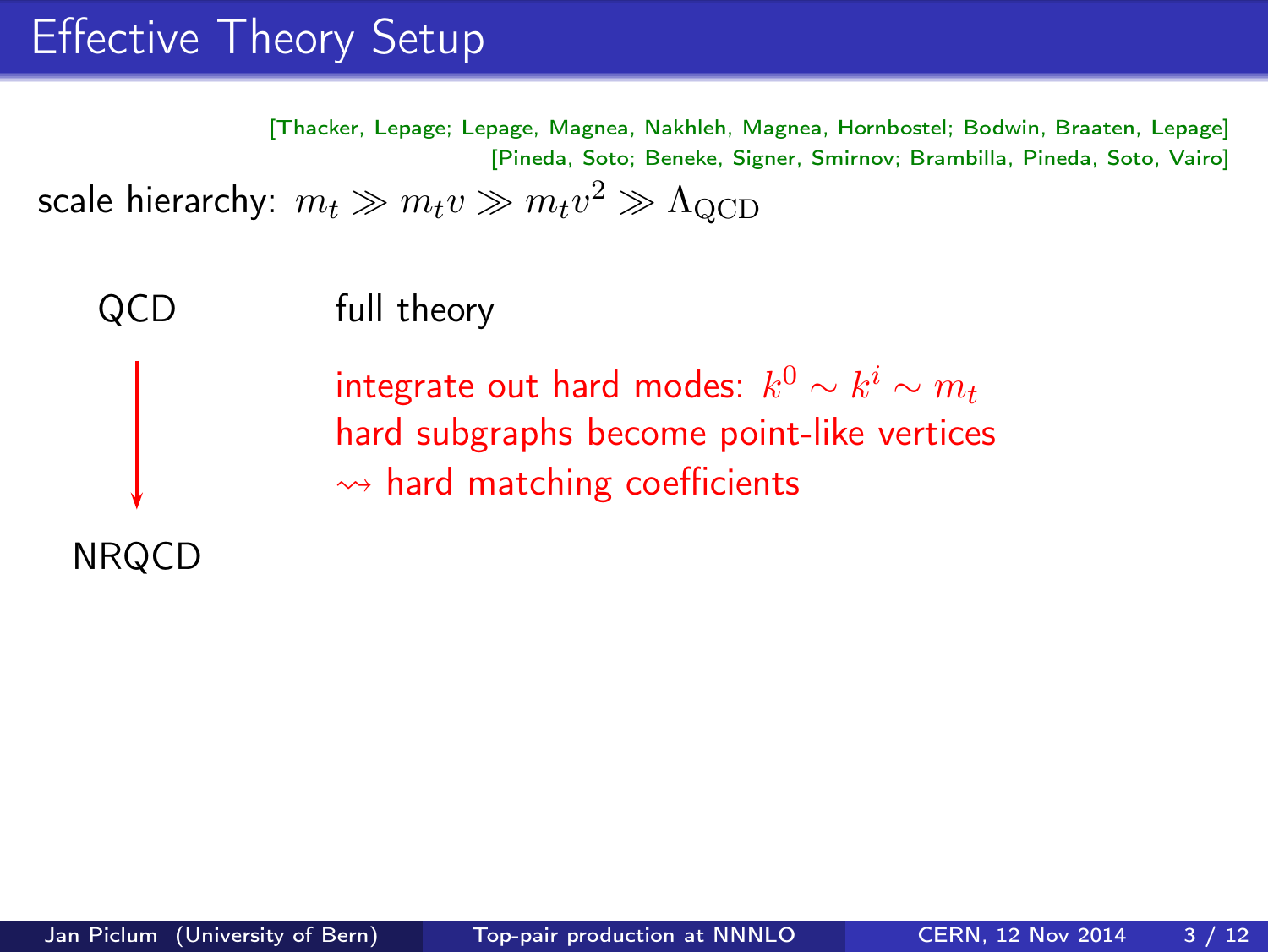# Effective Theory Setup

[Thacker, Lepage; Lepage, Magnea, Nakhleh, Magnea, Hornbostel; Bodwin, Braaten, Lepage] [Pineda, Soto; Beneke, Signer, Smirnov; Brambilla, Pineda, Soto, Vairo] scale hierarchy:  $m_t \gg m_t v \gg m_t v^2 \gg \Lambda_{\rm QCD}$ 

QCD full theory

integrate out hard modes:  $k^0 \sim k^i \sim m_t$ hard subgraphs become point-like vertices  $\rightsquigarrow$  hard matching coefficients

NRQCD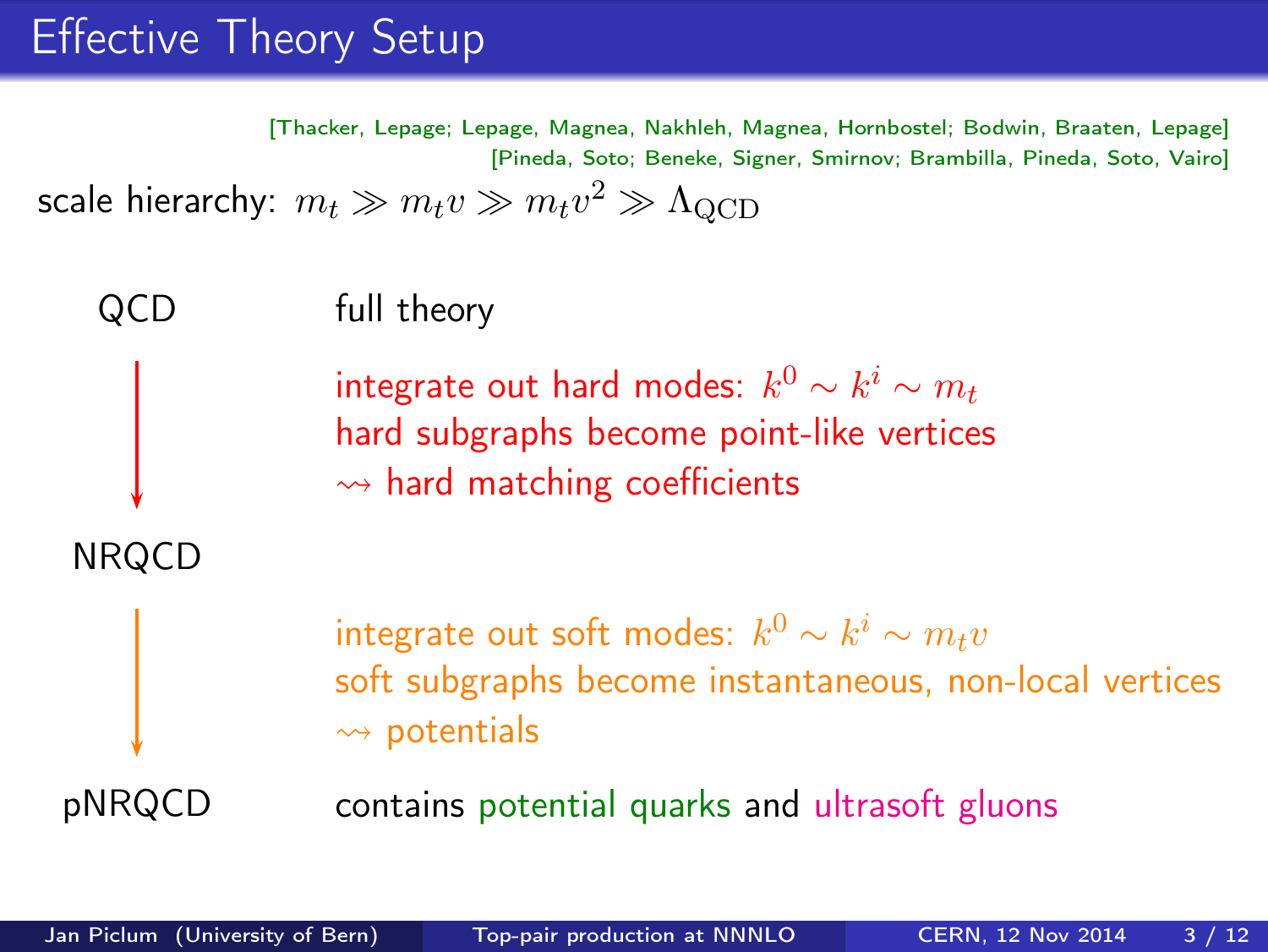# Effective Theory Setup

[Thacker, Lepage; Lepage, Magnea, Nakhleh, Magnea, Hornbostel; Bodwin, Braaten, Lepage] [Pineda, Soto; Beneke, Signer, Smirnov; Brambilla, Pineda, Soto, Vairo] scale hierarchy:  $m_t \gg m_t v \gg m_t v^2 \gg \Lambda_{\rm QCD}$ 

QCD full theory integrate out hard modes:  $k^0 \sim k^i \sim m_t$ hard subgraphs become point-like vertices  $\rightsquigarrow$  hard matching coefficients NRQCD integrate out soft modes:  $k^0 \sim k^i \sim m_t v$ soft subgraphs become instantaneous, non-local vertices  $\rightsquigarrow$  potentials pNRQCD contains potential quarks and ultrasoft gluons

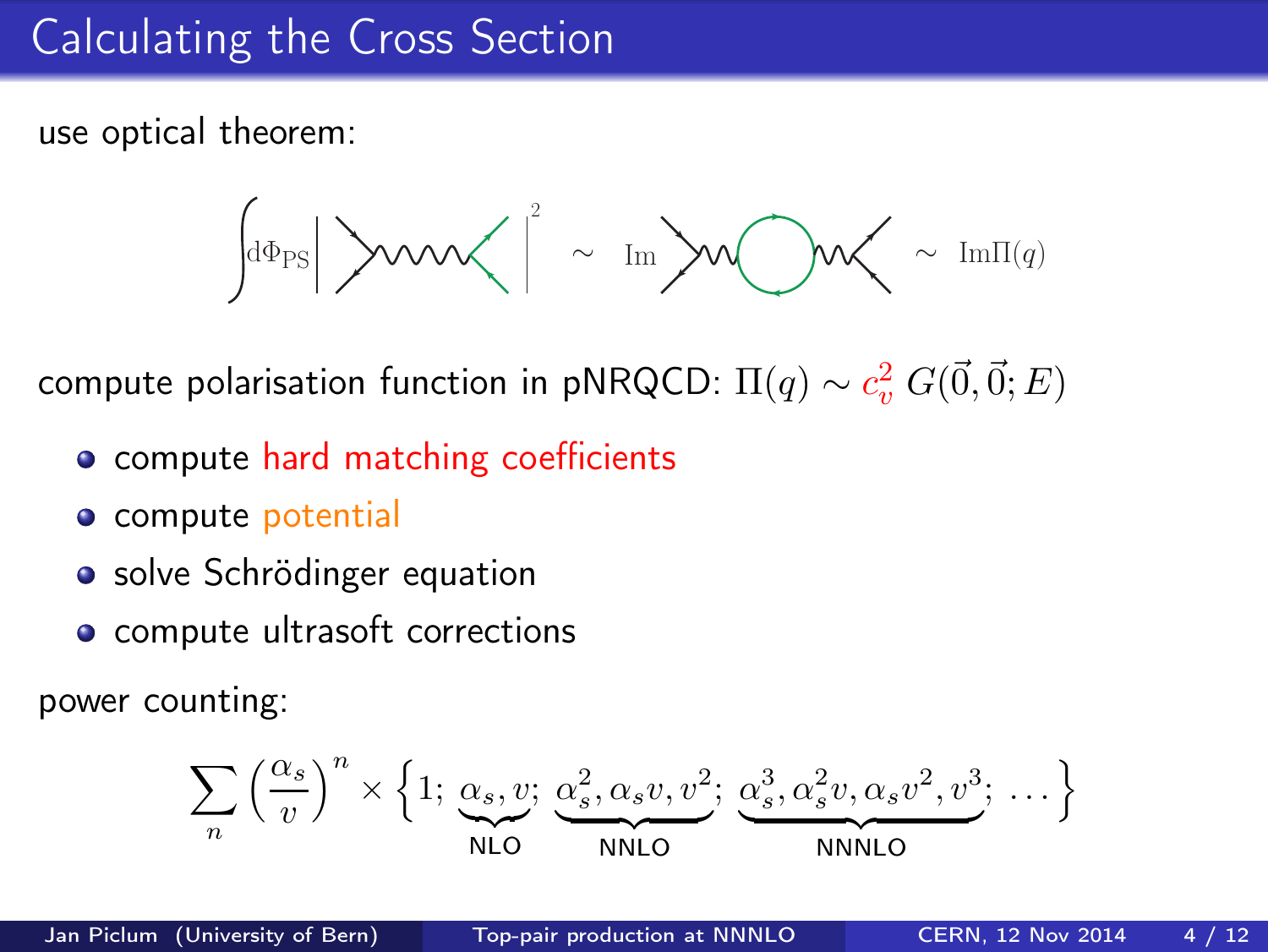# Calculating the Cross Section

use optical theorem:

$$
\text{diag}\left|\text{max}\left|\text{max}\right|\right|\sim\text{Im}\left|\text{max}\right|\sim\text{max}
$$

compute polarisation function in pNRQCD:  $\Pi(q)\sim c_v^2\, G(\vec{0},\vec{0};E)$ 

- compute hard matching coefficients
- o compute potential
- solve Schrödinger equation
- compute ultrasoft corrections

power counting:

$$
\sum_{n} \left(\frac{\alpha_s}{v}\right)^n \times \left\{1; \underbrace{\alpha_s, v;}_{\text{NLO}}, \underbrace{\alpha_s^2, \alpha_s v, v^2}_{\text{NNLO}}; \underbrace{\alpha_s^3, \alpha_s^2 v, \alpha_s v^2, v^3}_{\text{NNNLO}}; \dots\right\}
$$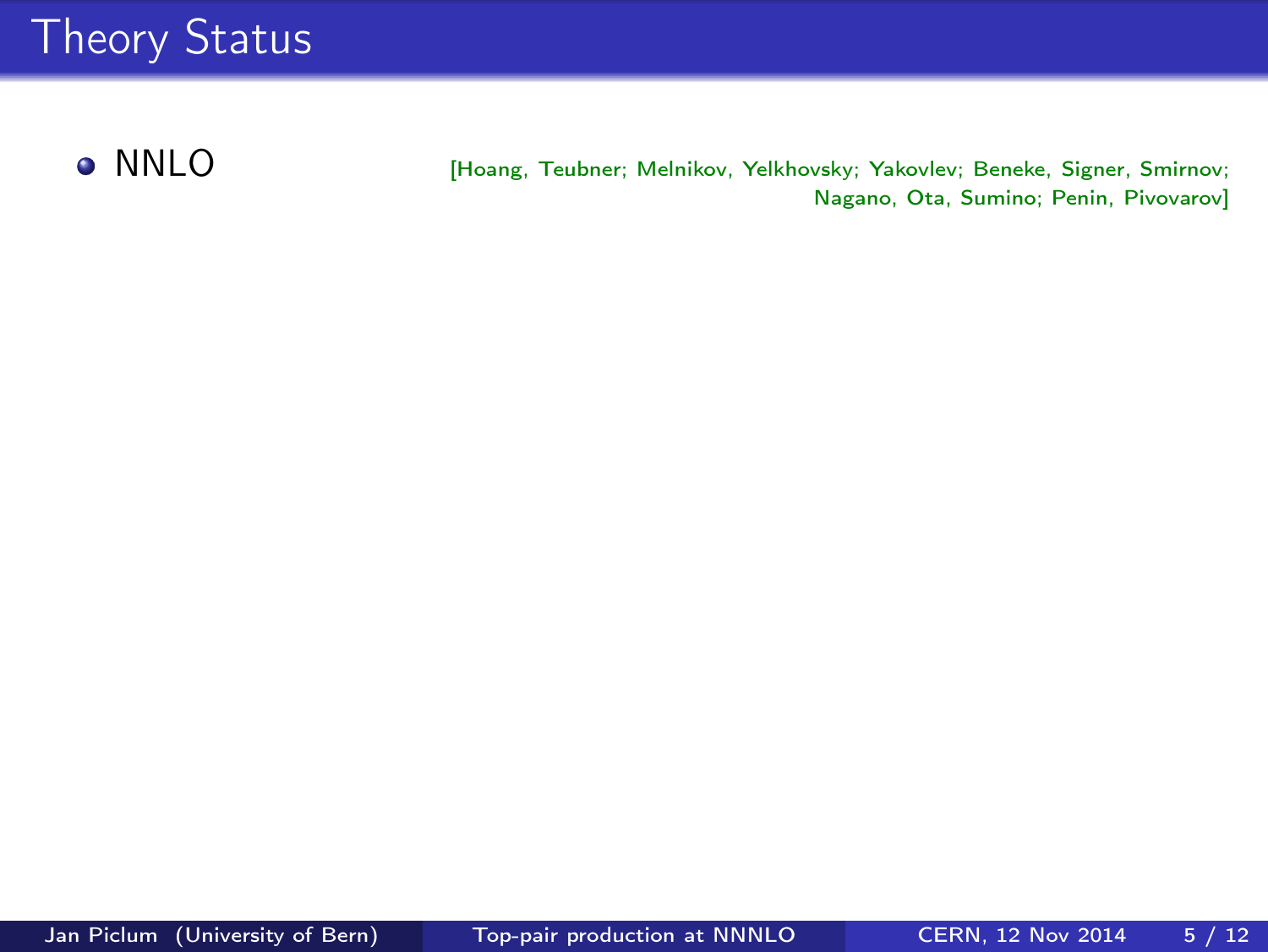**O** NNLO [Hoang, Teubner; Melnikov, Yelkhovsky; Yakovlev; Beneke, Signer, Smirnov; Nagano, Ota, Sumino; Penin, Pivovarov]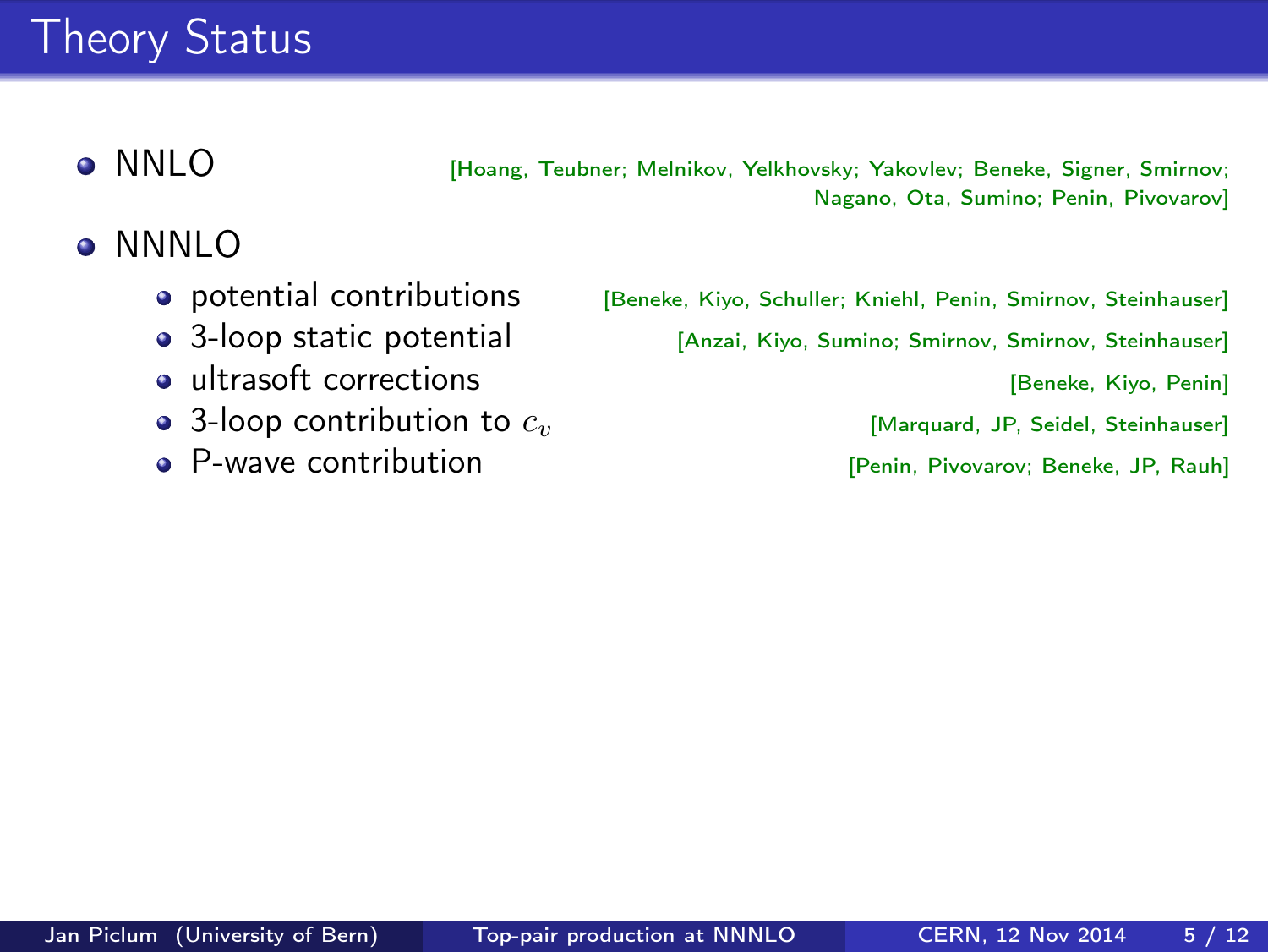# Theory Status

NNLO [Hoang, Teubner; Melnikov, Yelkhovsky; Yakovlev; Beneke, Signer, Smirnov; Nagano, Ota, Sumino; Penin, Pivovarov]

### NNNLO  $\bullet$

- 
- 
- ultrasoft corrections **and Community** [Beneke, Kiyo, Penin]
- **3-loop contribution to**  $c_v$  [Marquard, JP, Seidel, Steinhauser]<br>**9** P-Wave contribution **and Steinhauser** [Penin, Pivovarov: Beneke, JP, Rauh]
- 

**• potential contributions** [Beneke, Kiyo, Schuller; Kniehl, Penin, Smirnov, Steinhauser]

• 3-loop static potential [Anzai, Kiyo, Sumino; Smirnov, Smirnov, Steinhauser]

[Penin, Pivovarov; Beneke, JP, Rauh]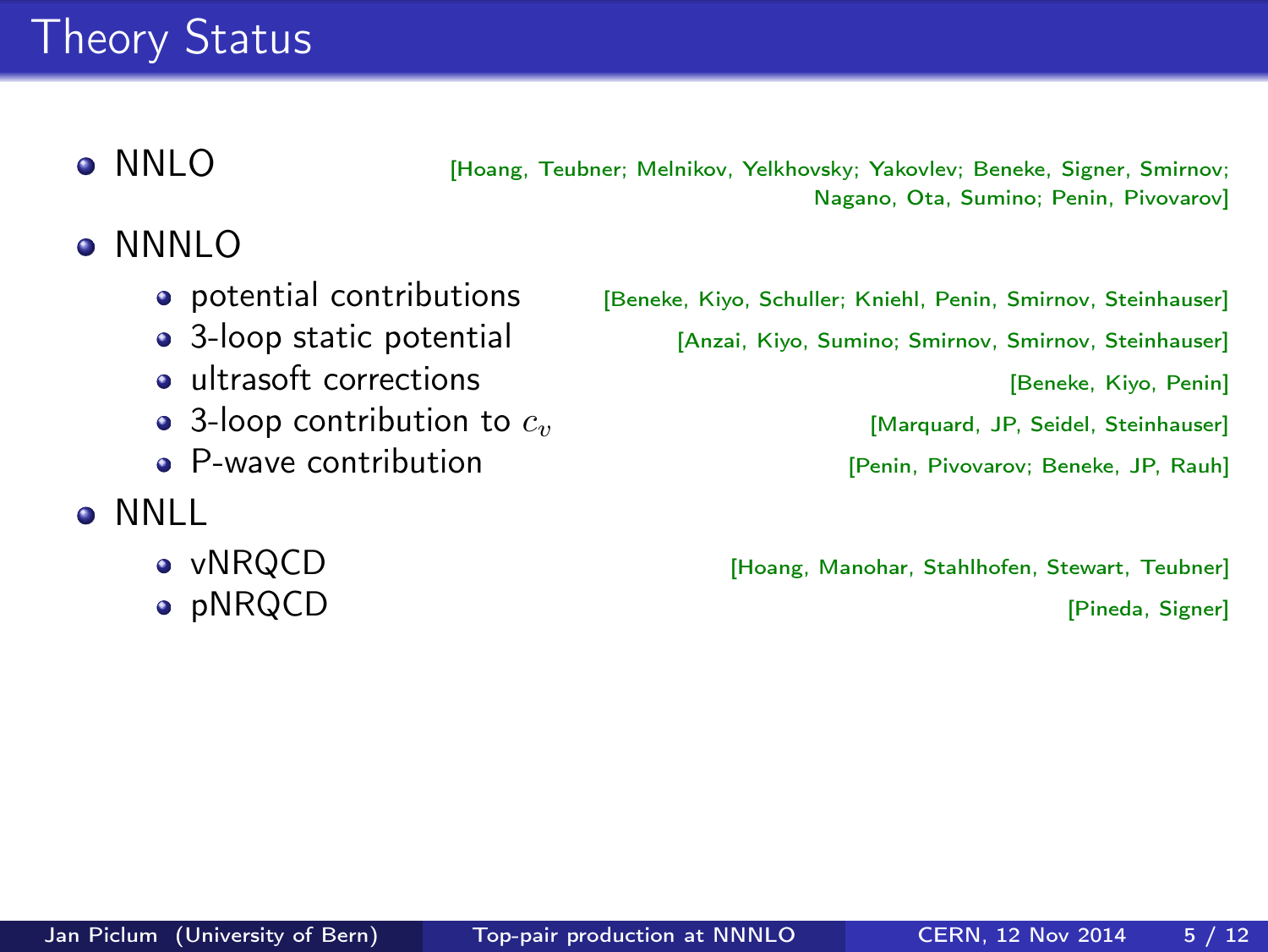# Theory Status

NNLO [Hoang, Teubner; Melnikov, Yelkhovsky; Yakovlev; Beneke, Signer, Smirnov; Nagano, Ota, Sumino; Penin, Pivovarov]

### NNNLO  $\bullet$

- 
- 
- ultrasoft corrections **and Community** [Beneke, Kiyo, Penin]
- 3-loop contribution to  $c_v$  [Marquard, JP, Seidel, Steinhauser]
- P-wave contribution **Fig. 1** [Penin, Pivovarov; Beneke, JP, Rauh]
- **•** NNLL
	-
	-

**• potential contributions** [Beneke, Kiyo, Schuller; Kniehl, Penin, Smirnov, Steinhauser]

• 3-loop static potential [Anzai, Kiyo, Sumino; Smirnov, Smirnov, Steinhauser]

vNRQCD [Hoang, Manohar, Stahlhofen, Stewart, Teubner] **•** pNRQCD [Pineda, Signer]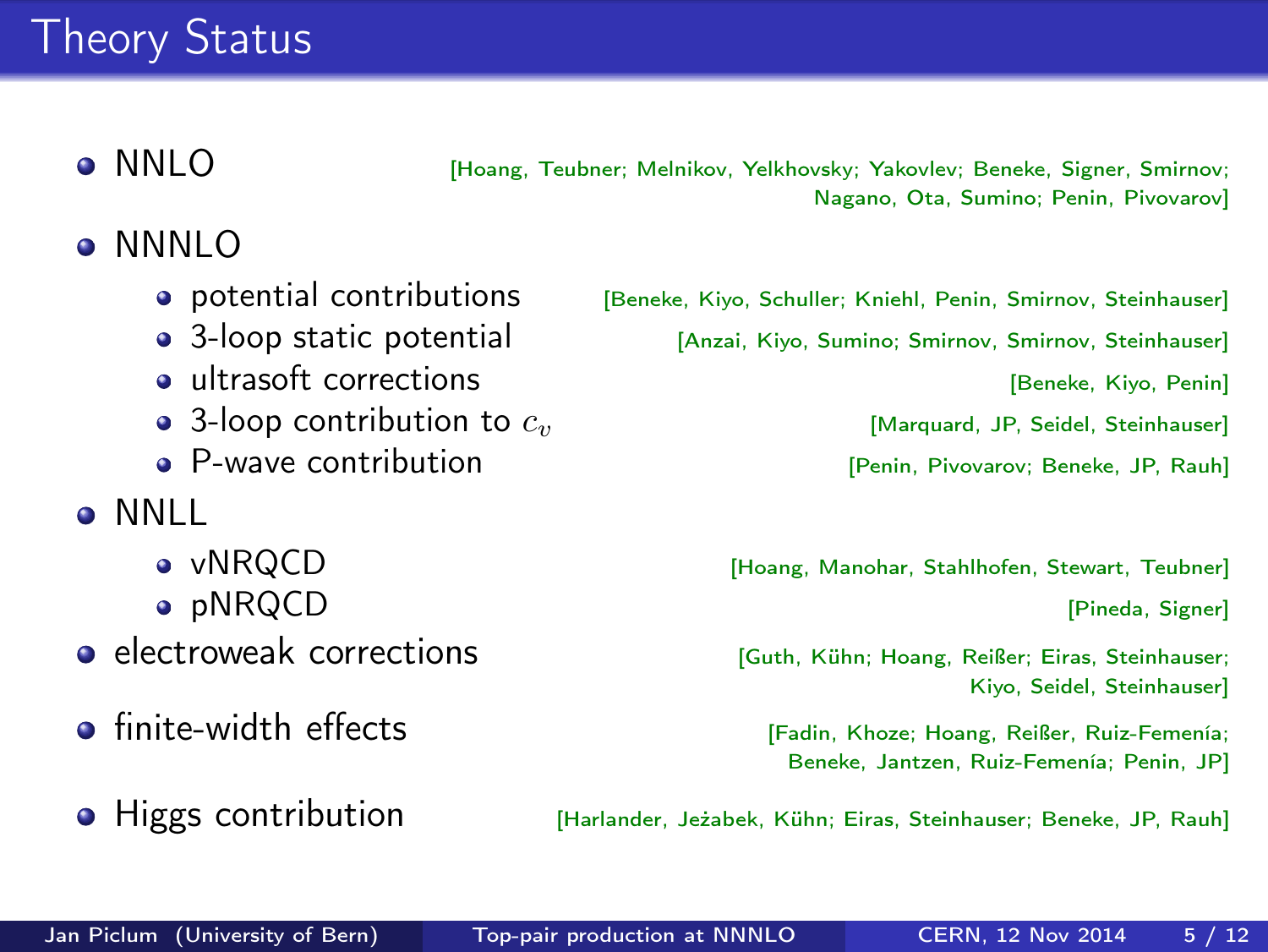# Theory Status

**• NNLO** [Hoang, Teubner; Melnikov, Yelkhovsky; Yakovlev; Beneke, Signer, Smirnov; Nagano, Ota, Sumino; Penin, Pivovarov]

- NNNLO
	-
	-
	- ultrasoft corrections and the state of the state of the state of the state of the state of the state of the state of the state of the state of the state of the state of the state of the state of the state of the state of
	- 3-loop contribution to  $c_v$  [Marquard, JP, Seidel, Steinhauser]
	- P-wave contribution **business** [Penin, Pivovarov; Beneke, JP, Rauh]
- **•** NNLL
	-
	-
- **electroweak corrections** [Guth, Kühn; Hoang, Reißer; Eiras, Steinhauser;
- finite-width effects **[Fadin, Khoze; Hoang, Reißer, Ruiz-Femenía**;
- 

**• potential contributions** [Beneke, Kiyo, Schuller; Kniehl, Penin, Smirnov, Steinhauser]

• 3-loop static potential [Anzai, Kiyo, Sumino; Smirnov, Smirnov, Steinhauser]

vNRQCD [Hoang, Manohar, Stahlhofen, Stewart, Teubner] **•** pNRQCD [Pineda, Signer]

Kiyo, Seidel, Steinhauser]

Beneke, Jantzen, Ruiz-Femenía; Penin, JP]

**• Higgs contribution** [Harlander, Jeżabek, Kühn; Eiras, Steinhauser; Beneke, JP, Rauh]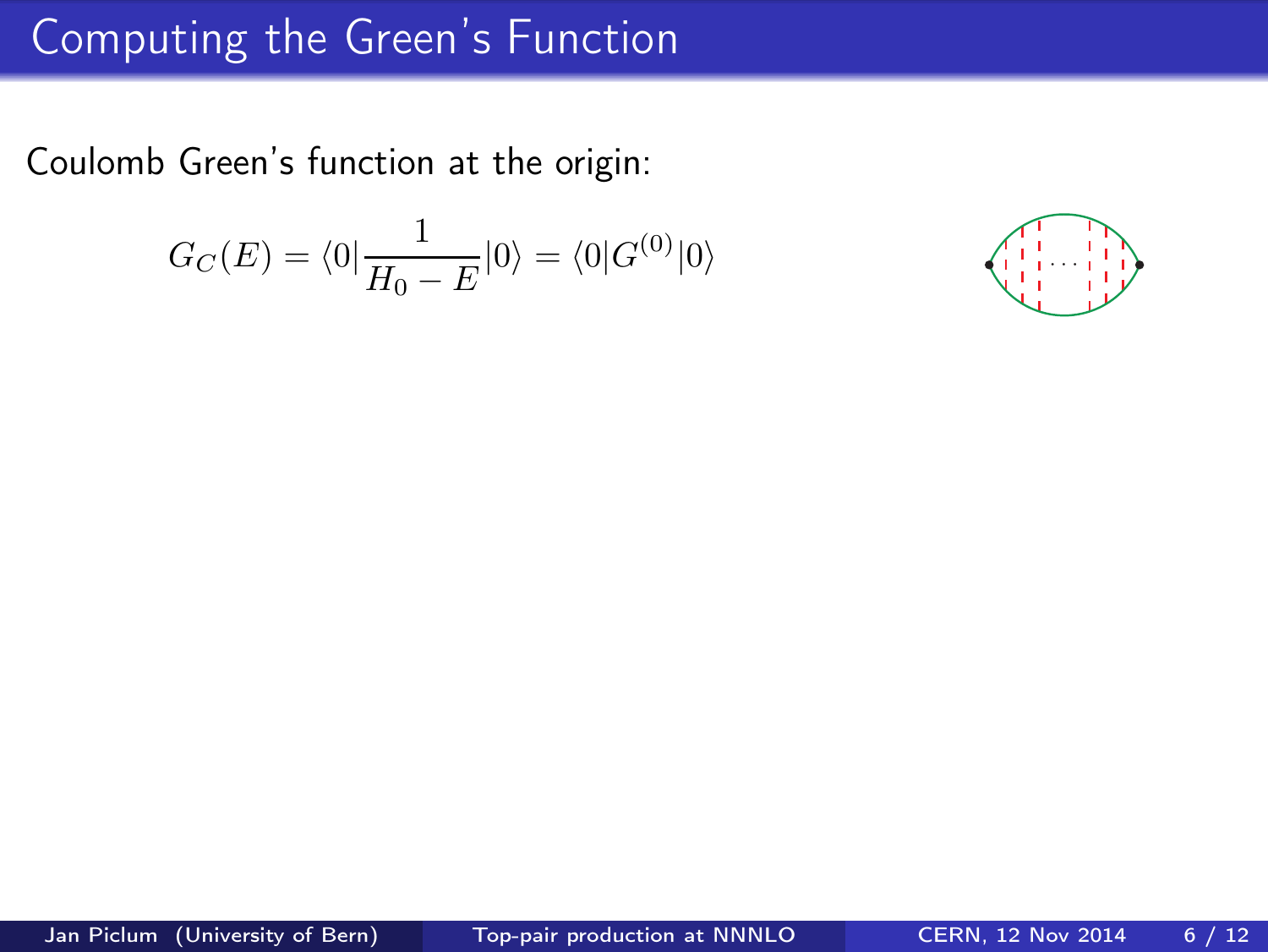## Computing the Green's Function

Coulomb Green's function at the origin:

$$
G_C(E) = \langle 0 | \frac{1}{H_0 - E} | 0 \rangle = \langle 0 | G^{(0)} | 0 \rangle
$$

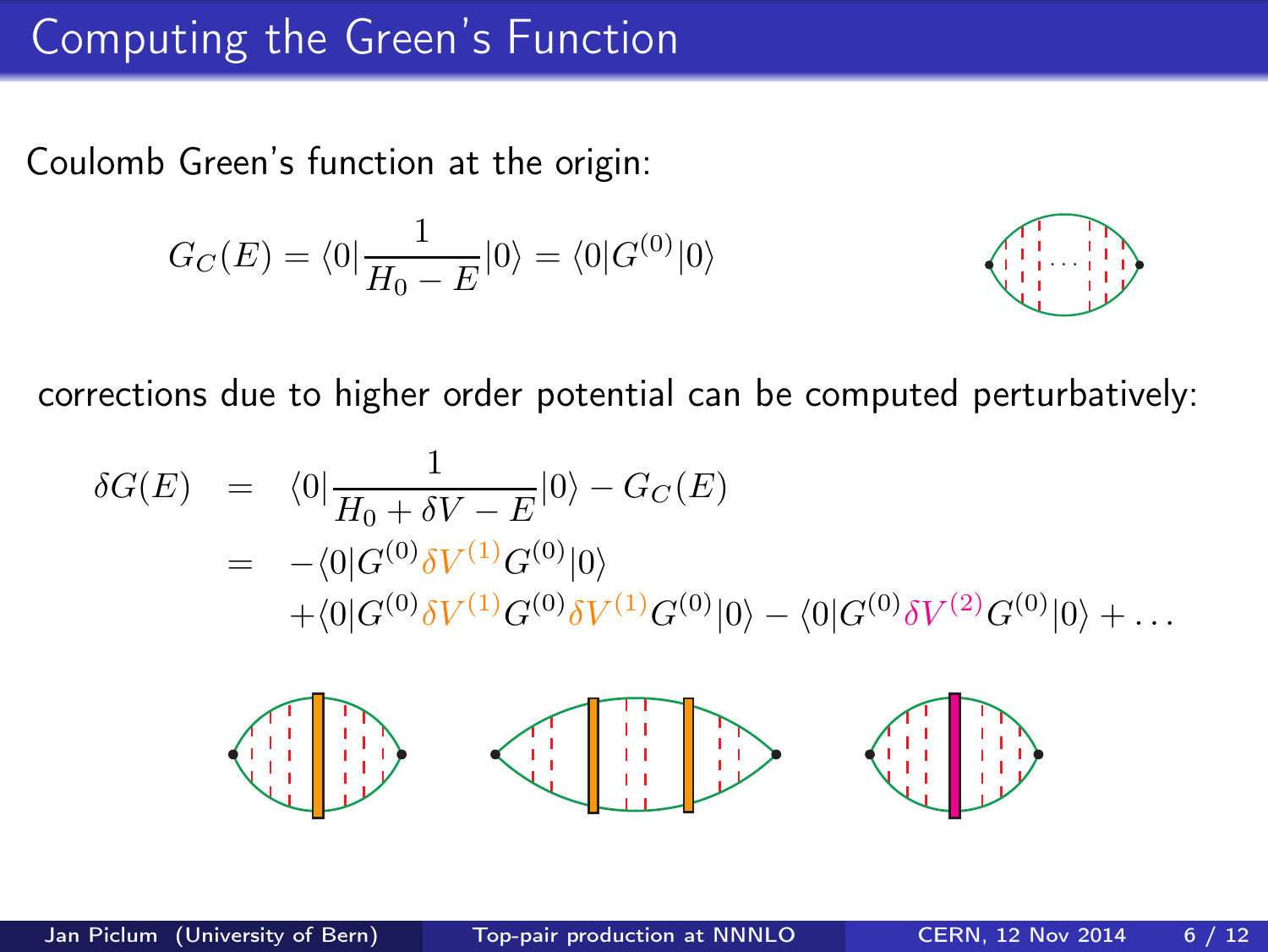### Computing the Green's Function

Coulomb Green's function at the origin:

$$
G_C(E) = \langle 0 | \frac{1}{H_0 - E} | 0 \rangle = \langle 0 | G^{(0)} | 0 \rangle
$$



corrections due to higher order potential can be computed perturbatively:

$$
\delta G(E) = \langle 0 | \frac{1}{H_0 + \delta V - E} | 0 \rangle - G_C(E)
$$
  
= -\langle 0 | G^{(0)} \delta V^{(1)} G^{(0)} | 0 \rangle  
+ \langle 0 | G^{(0)} \delta V^{(1)} G^{(0)} \delta V^{(1)} G^{(0)} | 0 \rangle - \langle 0 | G^{(0)} \delta V^{(2)} G^{(0)} | 0 \rangle + ...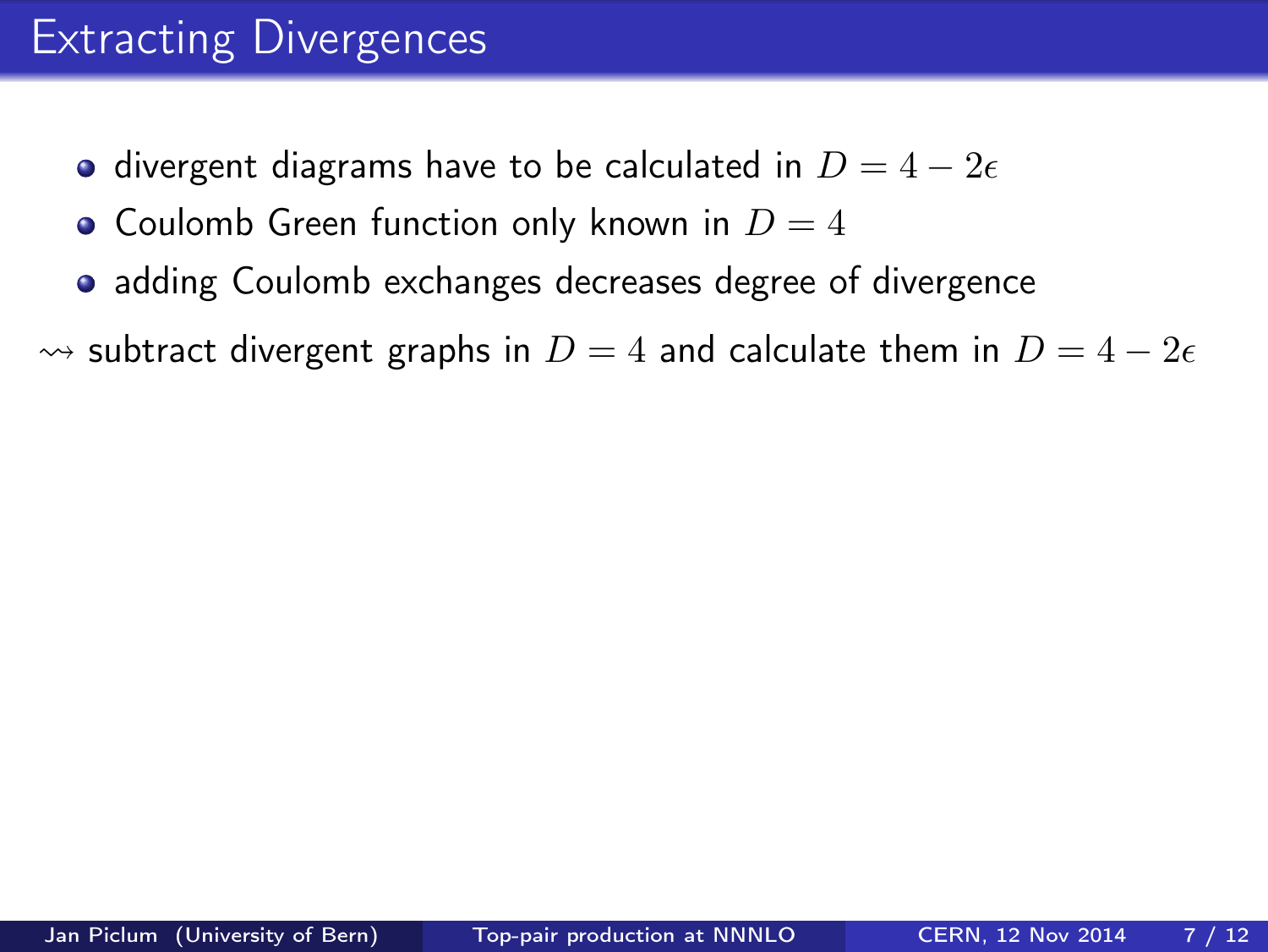## Extracting Divergences

- divergent diagrams have to be calculated in  $D = 4 2\epsilon$
- Coulomb Green function only known in  $D = 4$
- adding Coulomb exchanges decreases degree of divergence

 $\rightsquigarrow$  subtract divergent graphs in  $D = 4$  and calculate them in  $D = 4 - 2\epsilon$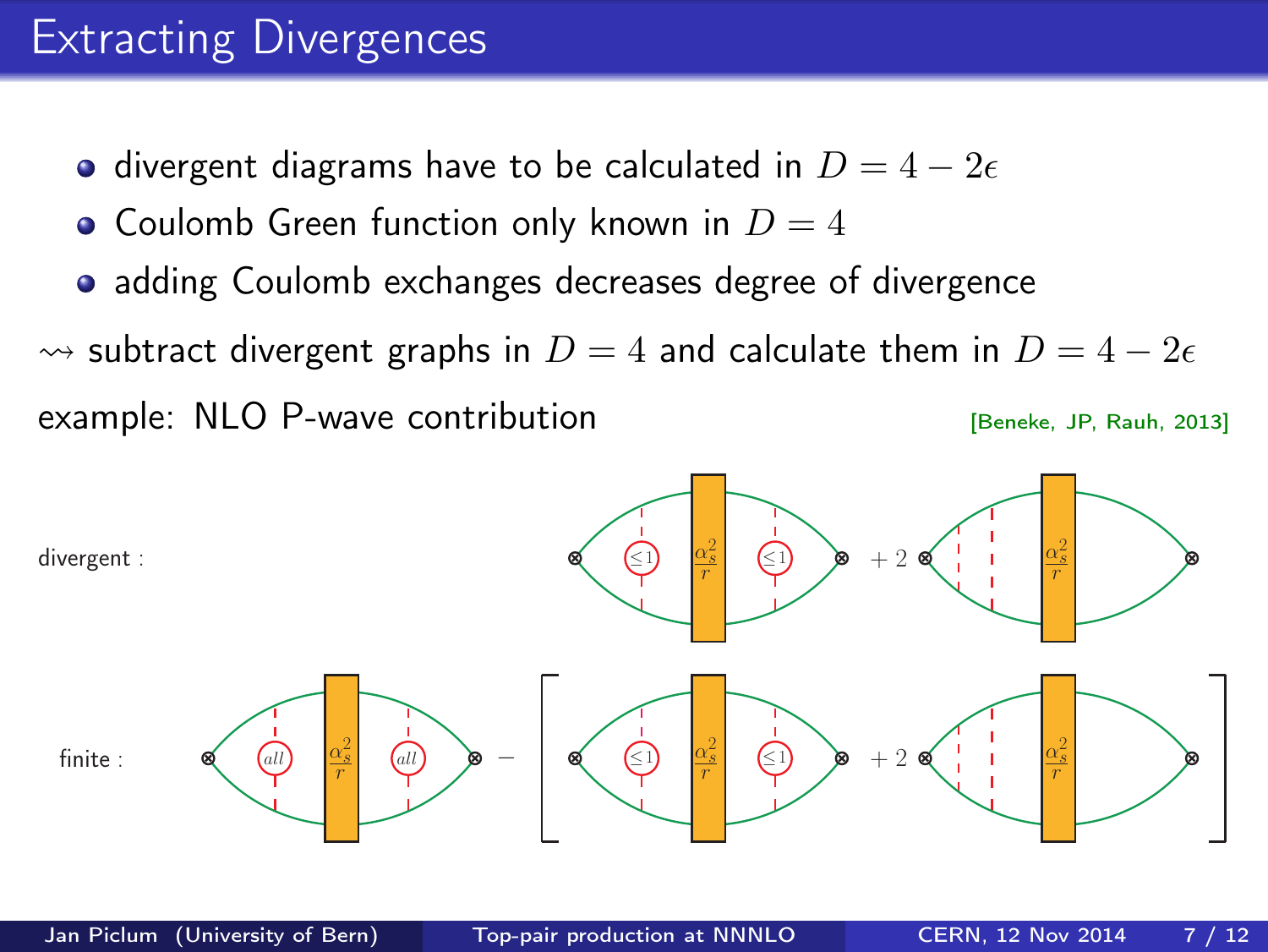### Extracting Divergences

- divergent diagrams have to be calculated in  $D = 4 2\epsilon$
- Coulomb Green function only known in  $D=4$
- adding Coulomb exchanges decreases degree of divergence

 $\rightsquigarrow$  subtract divergent graphs in  $D = 4$  and calculate them in  $D = 4 - 2\epsilon$ example: NLO P-wave contribution **Example:** IP, Rauh, 2013]

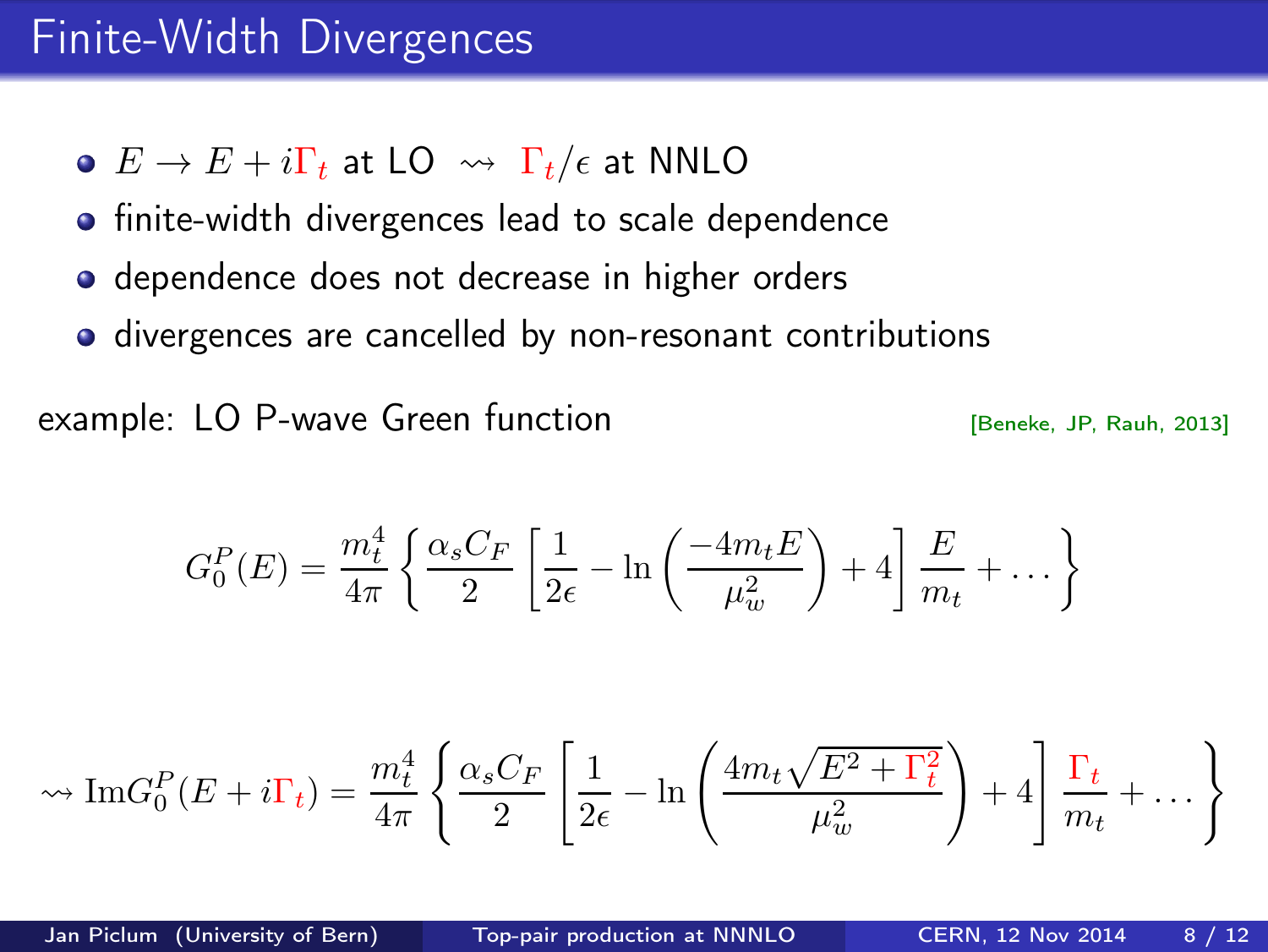### Finite-Width Divergences

- $\bullet$   $E \rightarrow E + i\Gamma_t$  at LO  $\rightsquigarrow \Gamma_t/\epsilon$  at NNLO
- **•** finite-width divergences lead to scale dependence
- **•** dependence does not decrease in higher orders
- divergences are cancelled by non-resonant contributions

example: LO P-wave Green function **Example:** LO P-wave Green function

$$
G_0^P(E) = \frac{m_t^4}{4\pi} \left\{ \frac{\alpha_s C_F}{2} \left[ \frac{1}{2\epsilon} - \ln \left( \frac{-4m_t E}{\mu_w^2} \right) + 4 \right] \frac{E}{m_t} + \dots \right\}
$$

$$
\sim \operatorname{Im} G_0^P(E + i\Gamma_t) = \frac{m_t^4}{4\pi} \left\{ \frac{\alpha_s C_F}{2} \left[ \frac{1}{2\epsilon} - \ln \left( \frac{4m_t\sqrt{E^2 + \Gamma_t^2}}{\mu_w^2} \right) + 4 \right] \frac{\Gamma_t}{m_t} + \dots \right\}
$$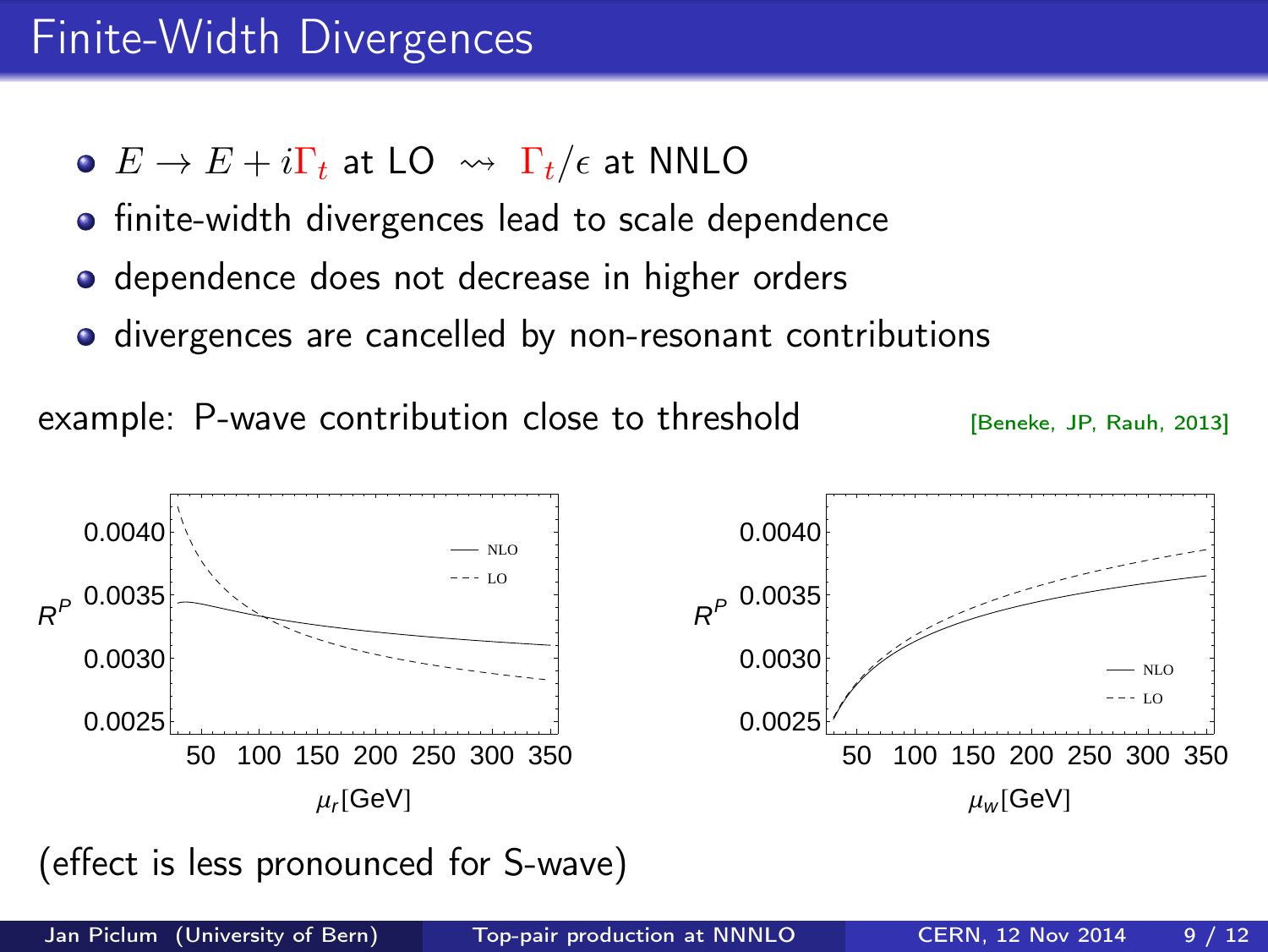## Finite-Width Divergences

- $\bullet$   $E \rightarrow E + i\Gamma_t$  at LO  $\rightsquigarrow \Gamma_t/\epsilon$  at NNLO
- **•** finite-width divergences lead to scale dependence
- **•** dependence does not decrease in higher orders
- divergences are cancelled by non-resonant contributions

example: P-wave contribution close to threshold [Beneke, JP, Rauh, 2013]



(effect is less pronounced for S-wave)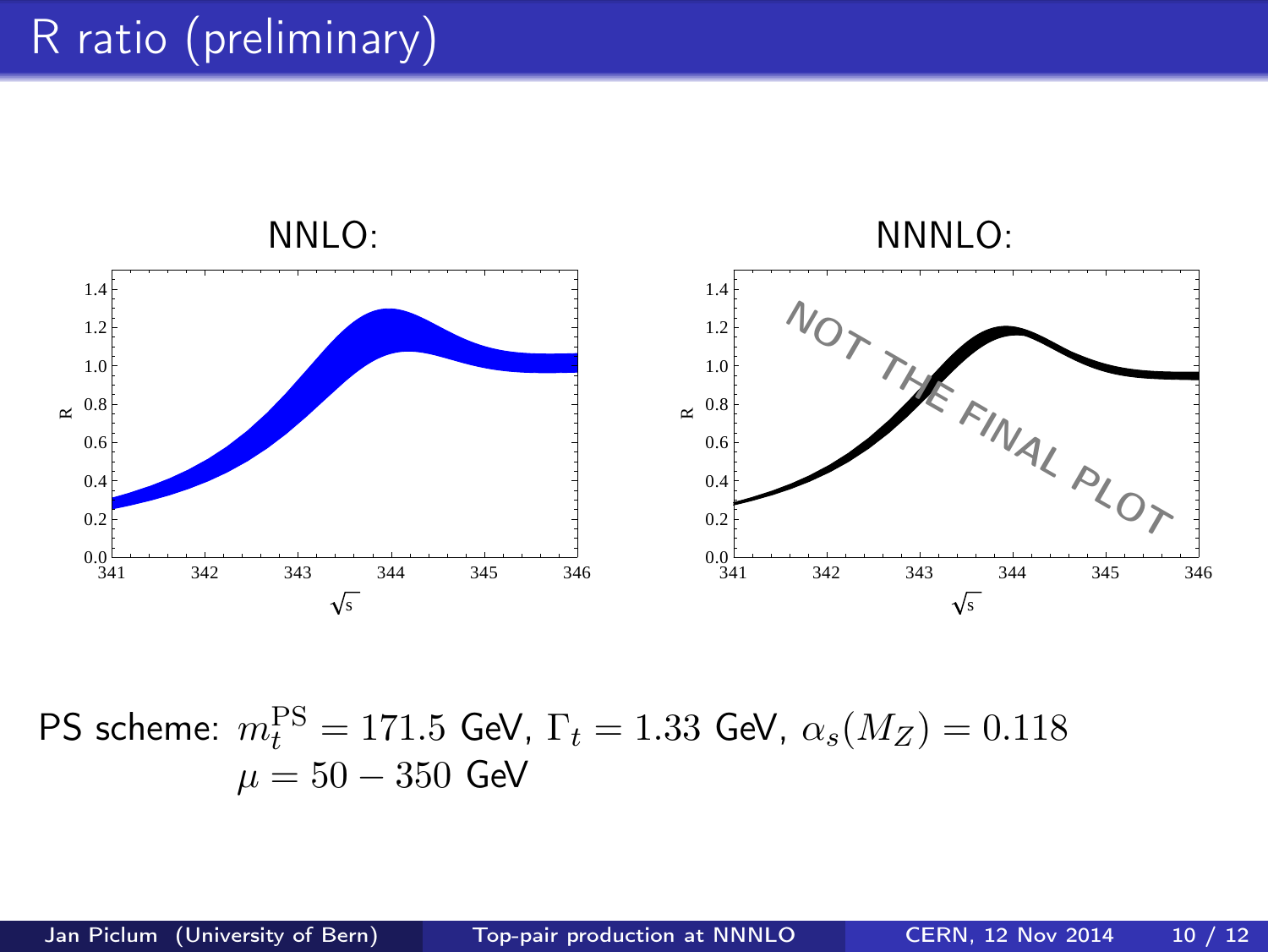# R ratio (preliminary)



PS scheme:  $m_t^{\text{PS}} = 171.5$  GeV,  $\Gamma_t = 1.33$  GeV,  $\alpha_s(M_Z) = 0.118$  $\mu = 50 - 350$  GeV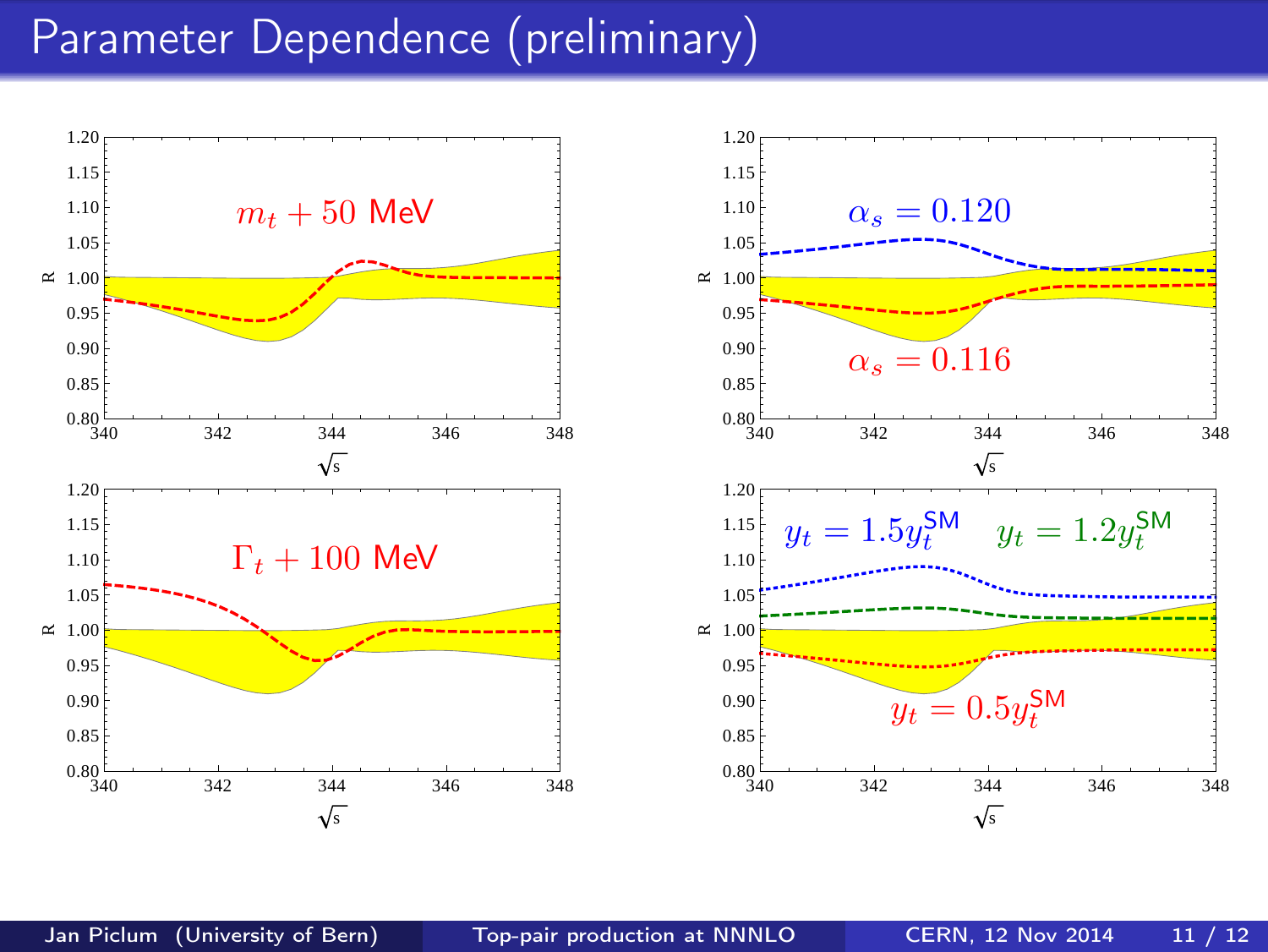### Parameter Dependence (preliminary)